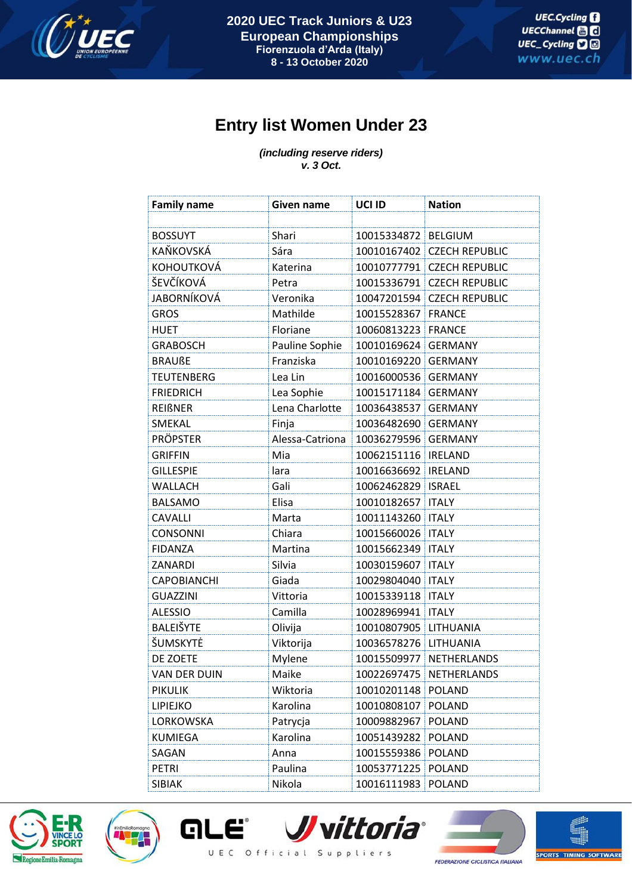

## **Entry list Women Under 23**

*(including reserve riders) v. 3 Oct.*

| <b>Family name</b>  | Given name      | UCI ID                | <b>Nation</b>           |
|---------------------|-----------------|-----------------------|-------------------------|
|                     |                 |                       |                         |
| <b>BOSSUYT</b>      | Shari           | 10015334872           | <b>BELGIUM</b>          |
| KAŇKOVSKÁ           | Sára            | 10010167402           | <b>CZECH REPUBLIC</b>   |
| KOHOUTKOVÁ          | Katerina        | 10010777791           | <b>CZECH REPUBLIC</b>   |
| ŠEVČÍKOVÁ           | Petra           | 10015336791           | <b>CZECH REPUBLIC</b>   |
| <b>JABORNÍKOVÁ</b>  | Veronika        | 10047201594           | <b>CZECH REPUBLIC</b>   |
| <b>GROS</b>         | Mathilde        | 10015528367           | <b>FRANCE</b>           |
| <b>HUET</b>         | Floriane        | 10060813223           | <b>FRANCE</b>           |
| <b>GRABOSCH</b>     | Pauline Sophie  | 10010169624           | <b>GERMANY</b>          |
| <b>BRAUßE</b>       | Franziska       | 10010169220           | <b>GERMANY</b>          |
| <b>TEUTENBERG</b>   | Lea Lin         | 10016000536           | <b>GERMANY</b>          |
| <b>FRIEDRICH</b>    | Lea Sophie      | 10015171184           | <b>GERMANY</b>          |
| <b>REIßNER</b>      | Lena Charlotte  | 10036438537           | <b>GERMANY</b>          |
| SMEKAL              | Finja           | 10036482690           | <b>GERMANY</b>          |
| <b>PRÖPSTER</b>     | Alessa-Catriona | 10036279596           | <b>GERMANY</b>          |
| <b>GRIFFIN</b>      | Mia             | 10062151116           | <b>IRELAND</b>          |
| <b>GILLESPIE</b>    | lara            | 10016636692           | <b>IRELAND</b>          |
| WALLACH             | Gali            | 10062462829           | <b>ISRAEL</b>           |
| <b>BALSAMO</b>      | Elisa           | 10010182657           | <b>ITALY</b>            |
| <b>CAVALLI</b>      | Marta           | 10011143260           | <b>ITALY</b>            |
| <b>CONSONNI</b>     | Chiara          | 10015660026   ITALY   |                         |
| <b>FIDANZA</b>      | Martina         | 10015662349           | <b>ITALY</b>            |
| ZANARDI             | Silvia          | 10030159607           | <b>ITALY</b>            |
| <b>CAPOBIANCHI</b>  | Giada           | 10029804040           | <b>ITALY</b>            |
| <b>GUAZZINI</b>     | Vittoria        | 10015339118   ITALY   |                         |
| <b>ALESSIO</b>      | Camilla         | 10028969941           | <b>ITALY</b>            |
| BALEIŠYTE           | Olivija         | 10010807905           | LITHUANIA               |
| ŠUMSKYTĖ            | Viktorija       | 10036578276 LITHUANIA |                         |
| DE ZOETE            | Mylene          | 10015509977           | NETHERLANDS             |
| <b>VAN DER DUIN</b> | Maike           |                       | 10022697475 NETHERLANDS |
| <b>PIKULIK</b>      | Wiktoria        | 10010201148           | <b>POLAND</b>           |
| <b>LIPIEJKO</b>     | Karolina        | 10010808107           | POLAND                  |
| LORKOWSKA           | Patrycja        | 10009882967           | <b>POLAND</b>           |
| <b>KUMIEGA</b>      | Karolina        | 10051439282           | <b>POLAND</b>           |
| SAGAN               | Anna            | 10015559386           | POLAND                  |
| <b>PETRI</b>        | Paulina         | 10053771225           | <b>POLAND</b>           |
| SIBIAK              | Nikola          | 10016111983           | <b>POLAND</b>           |





*J* vittoria® ale UEC Official Suppliers



臨